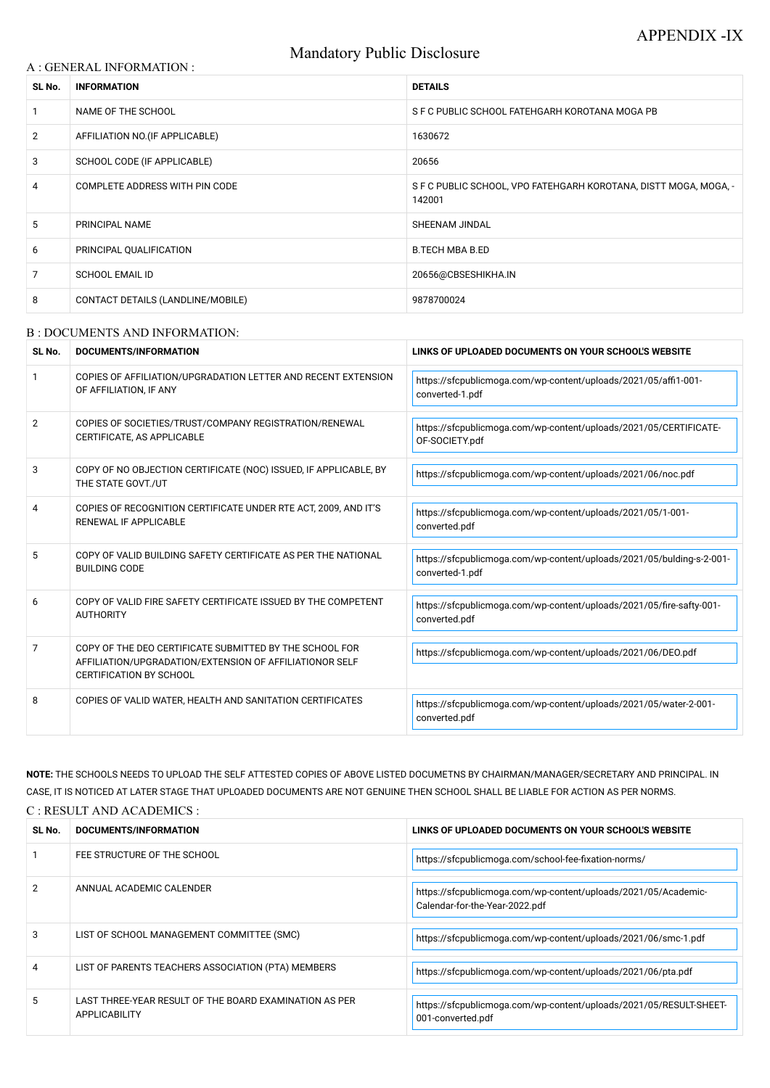# Mandatory Public Disclosure

#### A : GENERAL INFORMATION :

| SL No.         | <b>INFORMATION</b>                | <b>DETAILS</b>                                                             |
|----------------|-----------------------------------|----------------------------------------------------------------------------|
|                | NAME OF THE SCHOOL                | S F C PUBLIC SCHOOL FATEHGARH KOROTANA MOGA PB                             |
| $\overline{2}$ | AFFILIATION NO. (IF APPLICABLE)   | 1630672                                                                    |
| 3              | SCHOOL CODE (IF APPLICABLE)       | 20656                                                                      |
| 4              | COMPLETE ADDRESS WITH PIN CODE    | S F C PUBLIC SCHOOL, VPO FATEHGARH KOROTANA, DISTT MOGA, MOGA, -<br>142001 |
| 5              | PRINCIPAL NAME                    | SHEENAM JINDAL                                                             |
| 6              | PRINCIPAL QUALIFICATION           | <b>B.TECH MBA B.ED</b>                                                     |
| 7              | <b>SCHOOL EMAIL ID</b>            | 20656@CBSESHIKHA.IN                                                        |
| 8              | CONTACT DETAILS (LANDLINE/MOBILE) | 9878700024                                                                 |

#### B : DOCUMENTS AND INFORMATION:

| SL No.         | DOCUMENTS/INFORMATION                                                                                                                                | LINKS OF UPLOADED DOCUMENTS ON YOUR SCHOOL'S WEBSITE                                     |
|----------------|------------------------------------------------------------------------------------------------------------------------------------------------------|------------------------------------------------------------------------------------------|
|                | COPIES OF AFFILIATION/UPGRADATION LETTER AND RECENT EXTENSION<br>OF AFFILIATION, IF ANY                                                              | https://sfcpublicmoga.com/wp-content/uploads/2021/05/affi1-001-<br>converted-1.pdf       |
| $\overline{2}$ | COPIES OF SOCIETIES/TRUST/COMPANY REGISTRATION/RENEWAL<br>CERTIFICATE, AS APPLICABLE                                                                 | https://sfcpublicmoga.com/wp-content/uploads/2021/05/CERTIFICATE-<br>OF-SOCIETY.pdf      |
| 3              | COPY OF NO OBJECTION CERTIFICATE (NOC) ISSUED, IF APPLICABLE, BY<br>THE STATE GOVT./UT                                                               | https://sfcpublicmoga.com/wp-content/uploads/2021/06/noc.pdf                             |
| 4              | COPIES OF RECOGNITION CERTIFICATE UNDER RTE ACT, 2009, AND IT'S<br><b>RENEWAL IF APPLICABLE</b>                                                      | https://sfcpublicmoga.com/wp-content/uploads/2021/05/1-001-<br>converted.pdf             |
| 5              | COPY OF VALID BUILDING SAFETY CERTIFICATE AS PER THE NATIONAL<br><b>BUILDING CODE</b>                                                                | https://sfcpublicmoga.com/wp-content/uploads/2021/05/bulding-s-2-001-<br>converted-1.pdf |
| 6              | COPY OF VALID FIRE SAFETY CERTIFICATE ISSUED BY THE COMPETENT<br><b>AUTHORITY</b>                                                                    | https://sfcpublicmoga.com/wp-content/uploads/2021/05/fire-safty-001-<br>converted.pdf    |
| 7              | COPY OF THE DEO CERTIFICATE SUBMITTED BY THE SCHOOL FOR<br>AFFILIATION/UPGRADATION/EXTENSION OF AFFILIATIONOR SELF<br><b>CERTIFICATION BY SCHOOL</b> | https://sfcpublicmoga.com/wp-content/uploads/2021/06/DEO.pdf                             |
| 8              | COPIES OF VALID WATER, HEALTH AND SANITATION CERTIFICATES                                                                                            | https://sfcpublicmoga.com/wp-content/uploads/2021/05/water-2-001-<br>converted.pdf       |

**NOTE:** THE SCHOOLS NEEDS TO UPLOAD THE SELF ATTESTED COPIES OF ABOVE LISTED DOCUMETNS BY CHAIRMAN/MANAGER/SECRETARY AND PRINCIPAL. IN CASE, IT IS NOTICED AT LATER STAGE THAT UPLOADED DOCUMENTS ARE NOT GENUINE THEN SCHOOL SHALL BE LIABLE FOR ACTION AS PER NORMS. C : RESULT AND ACADEMICS :

| SL No. | <b>DOCUMENTS/INFORMATION</b>                                            | LINKS OF UPLOADED DOCUMENTS ON YOUR SCHOOL'S WEBSITE                                             |
|--------|-------------------------------------------------------------------------|--------------------------------------------------------------------------------------------------|
|        | FEE STRUCTURE OF THE SCHOOL                                             | https://sfcpublicmoga.com/school-fee-fixation-norms/                                             |
| 2      | ANNUAL ACADEMIC CALENDER                                                | https://sfcpublicmoga.com/wp-content/uploads/2021/05/Academic-<br>Calendar-for-the-Year-2022.pdf |
| 3      | LIST OF SCHOOL MANAGEMENT COMMITTEE (SMC)                               | https://sfcpublicmoga.com/wp-content/uploads/2021/06/smc-1.pdf                                   |
| 4      | LIST OF PARENTS TEACHERS ASSOCIATION (PTA) MEMBERS                      | https://sfcpublicmoga.com/wp-content/uploads/2021/06/pta.pdf                                     |
| 5      | LAST THREE-YEAR RESULT OF THE BOARD EXAMINATION AS PER<br>APPLICABILITY | https://sfcpublicmoga.com/wp-content/uploads/2021/05/RESULT-SHEET-<br>001-converted.pdf          |